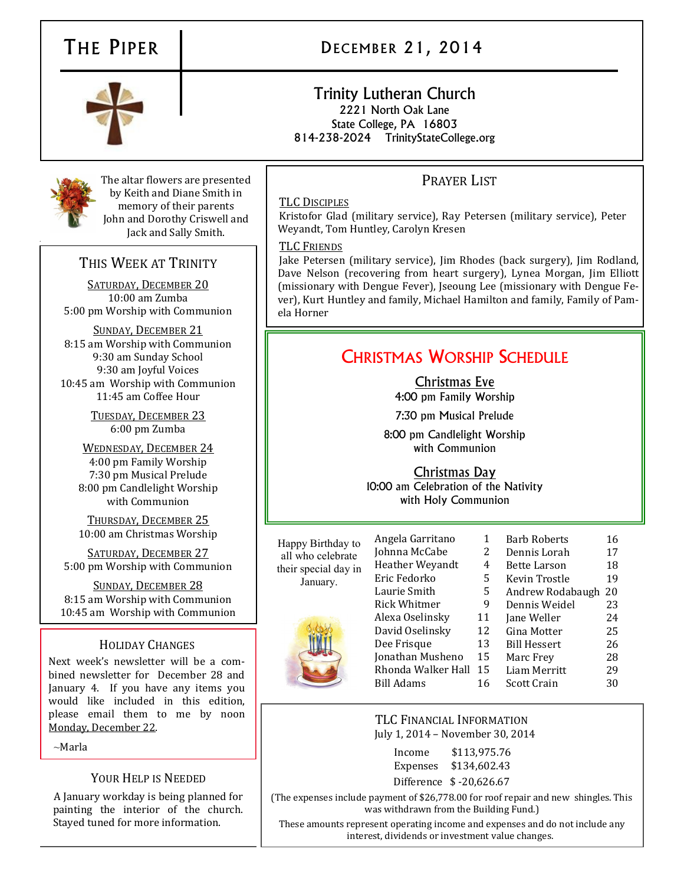# THE PIPER | DECEMBER 21, 2014



# Trinity Lutheran Church 2221 North Oak Lane State College, PA 16803

814-238-2024 TrinityStateCollege.org



The altar flowers are presented by Keith and Diane Smith in memory of their parents John and Dorothy Criswell and Jack and Sally Smith.

# THIS WEEK AT TRINITY

SATURDAY, DECEMBER 20 10:00 am Zumba 5:00 pm Worship with Communion

SUNDAY, DECEMBER 21 8:15 am Worship with Communion 9:30 am Sunday School 9:30 am Joyful Voices 10:45 am Worship with Communion 11:45 am Coffee Hour

> TUESDAY, DECEMBER 23 6:00 pm Zumba

WEDNESDAY, DECEMBER 24 4:00 pm Family Worship 7:30 pm Musical Prelude 8:00 pm Candlelight Worship with Communion

THURSDAY, DECEMBER 25 10:00 am Christmas Worship

SATURDAY, DECEMBER 27 5:00 pm Worship with Communion

SUNDAY, DECEMBER 28 8:15 am Worship with Communion 10:45 am Worship with Communion

#### HOLIDAY CHANGES

Next week's newsletter will be a combined newsletter for December 28 and January 4. If you have any items you would like included in this edition, please email them to me by noon Monday, December 22.

 $\sim$ Marla

### YOUR HELP IS NEEDED

A January workday is being planned for painting the interior of the church. Stayed tuned for more information.

## PRAYER LIST

#### TLC DISCIPLES

Kristofor Glad (military service), Ray Petersen (military service), Peter Weyandt, Tom Huntley, Carolyn Kresen

#### TLC FRIENDS

Jake Petersen (military service), Jim Rhodes (back surgery), Jim Rodland, Dave Nelson (recovering from heart surgery), Lynea Morgan, Jim Elliott (missionary with Dengue Fever), Jseoung Lee (missionary with Dengue Fever), Kurt Huntley and family, Michael Hamilton and family, Family of Pamela Horner

# CHRISTMAS WORSHIP SCHEDULE

Christmas Eve 4:00 pm Family Worship

7:30 pm Musical Prelude

8:00 pm Candlelight Worship with Communion

Christmas Day

10:00 am Celebration of the Nativity with Holy Communion

Happy Birthday to all who celebrate their special day in January.

| Angela Garritano    | 1  | <b>Barb Roberts</b> | 16 |
|---------------------|----|---------------------|----|
| Johnna McCabe       | 2  | Dennis Lorah        | 17 |
| Heather Weyandt     | 4  | Bette Larson        | 18 |
| Eric Fedorko        | 5  | Kevin Trostle       | 19 |
| Laurie Smith        | 5  | Andrew Rodabaugh    | 20 |
| <b>Rick Whitmer</b> | 9  | Dennis Weidel       | 23 |
| Alexa Oselinsky     | 11 | Jane Weller         | 24 |
| David Oselinsky     | 12 | Gina Motter         | 25 |
| Dee Frisque         | 13 | <b>Bill Hessert</b> | 26 |
| Jonathan Musheno    | 15 | Marc Frey           | 28 |
| Rhonda Walker Hall  | 15 | Liam Merritt        | 29 |
| Bill Adams          | 16 | Scott Crain         | 30 |
|                     |    |                     |    |

#### TLC FINANCIAL INFORMATION July 1, 2014 – November 30, 2014

Income \$113,975.76 Expenses \$134,602.43

Difference \$ -20,626.67

(The expenses include payment of \$26,778.00 for roof repair and new shingles. This was withdrawn from the Building Fund.)

These amounts represent operating income and expenses and do not include any interest, dividends or investment value changes.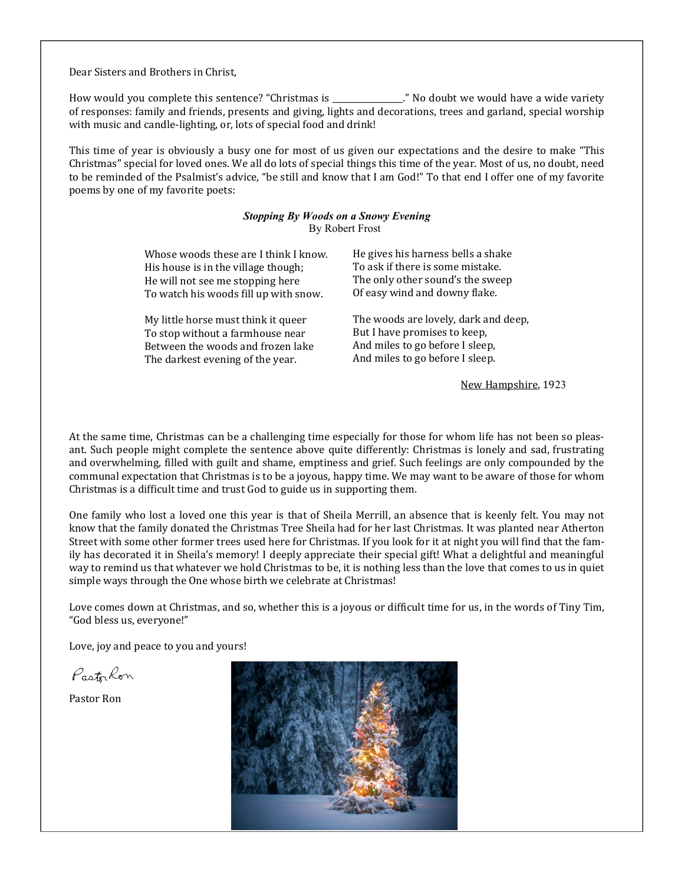Dear Sisters and Brothers in Christ,

How would you complete this sentence? "Christmas is \_\_\_\_\_\_\_\_\_\_\_\_\_\_\_\_\_." No doubt we would have a wide variety of responses: family and friends, presents and giving, lights and decorations, trees and garland, special worship with music and candle-lighting, or, lots of special food and drink!

This time of year is obviously a busy one for most of us given our expectations and the desire to make "This Christmas" special for loved ones. We all do lots of special things this time of the year. Most of us, no doubt, need to be reminded of the Psalmist's advice, "be still and know that I am God!" To that end I offer one of my favorite poems by one of my favorite poets:

#### *Stopping By Woods on a Snowy Evening* By Robert Frost

| Whose woods these are I think I know. | He gives his harness bells a shake   |
|---------------------------------------|--------------------------------------|
| His house is in the village though;   | To ask if there is some mistake.     |
| He will not see me stopping here      | The only other sound's the sweep     |
| To watch his woods fill up with snow. | Of easy wind and downy flake.        |
| My little horse must think it queer   | The woods are lovely, dark and deep, |
| To stop without a farmhouse near      | But I have promises to keep,         |
| Between the woods and frozen lake     | And miles to go before I sleep,      |
| The darkest evening of the year.      | And miles to go before I sleep.      |

New Hampshire, 1923

At the same time, Christmas can be a challenging time especially for those for whom life has not been so pleasant. Such people might complete the sentence above quite differently: Christmas is lonely and sad, frustrating and overwhelming, filled with guilt and shame, emptiness and grief. Such feelings are only compounded by the communal expectation that Christmas is to be a joyous, happy time. We may want to be aware of those for whom Christmas is a difficult time and trust God to guide us in supporting them.

One family who lost a loved one this year is that of Sheila Merrill, an absence that is keenly felt. You may not know that the family donated the Christmas Tree Sheila had for her last Christmas. It was planted near Atherton Street with some other former trees used here for Christmas. If you look for it at night you will find that the family has decorated it in Sheila's memory! I deeply appreciate their special gift! What a delightful and meaningful way to remind us that whatever we hold Christmas to be, it is nothing less than the love that comes to us in quiet simple ways through the One whose birth we celebrate at Christmas!

Love comes down at Christmas, and so, whether this is a joyous or difficult time for us, in the words of Tiny Tim, "God bless us, everyone!"

Love, joy and peace to you and yours!

Pastrkon

Pastor Ron